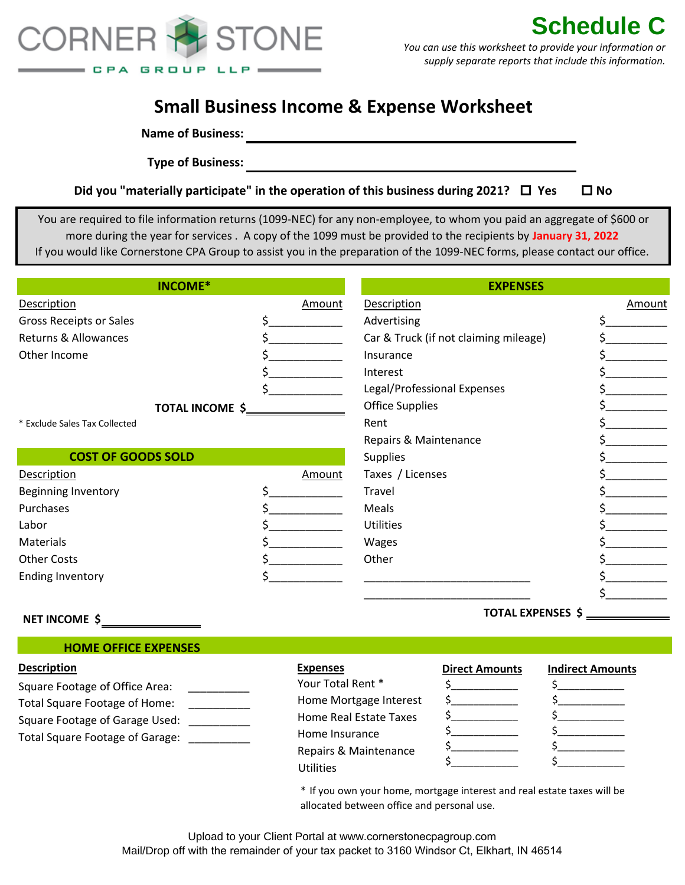

# **Small Business Income & Expense Worksheet**

**Name of Business:**

**Type of Business:**

|  |  | Did you "materially participate" in the operation of this business during 2021? $\Box$ Yes | $\square$ No |
|--|--|--------------------------------------------------------------------------------------------|--------------|
|--|--|--------------------------------------------------------------------------------------------|--------------|

 You are required to file information returns (1099-NEC) for any non-employee, to whom you paid an aggregate of \$600 or more during the year for services . A copy of the 1099 must be provided to the recipients by **January 31, 2022** If you would like Cornerstone CPA Group to assist you in the preparation of the 1099-NEC forms, please contact our office.

| INCOME*                       |        | <b>EXPENSES</b>                       |        |  |
|-------------------------------|--------|---------------------------------------|--------|--|
| Description                   | Amount | Description                           | Amount |  |
| Gross Receipts or Sales       |        | Advertising                           |        |  |
| Returns & Allowances          |        | Car & Truck (if not claiming mileage) |        |  |
| Other Income                  |        | Insurance                             |        |  |
|                               |        | Interest                              |        |  |
|                               |        | Legal/Professional Expenses           |        |  |
| TOTAL INCOME \$               |        | <b>Office Supplies</b>                |        |  |
| * Exclude Sales Tax Collected |        | Rent                                  |        |  |
|                               |        | Repairs & Maintenance                 |        |  |
| <b>COST OF GOODS SOLD</b>     |        | <b>Supplies</b>                       |        |  |
| <b>Description</b>            | Amount | Taxes / Licenses                      |        |  |
| <b>Beginning Inventory</b>    |        | Travel                                |        |  |
| Purchases                     |        | Meals                                 |        |  |
| Labor                         |        | <b>Utilities</b>                      |        |  |
| Materials                     |        | Wages                                 |        |  |
| <b>Other Costs</b>            |        | Other                                 |        |  |
| <b>Ending Inventory</b>       |        |                                       |        |  |
|                               |        |                                       |        |  |

# **NET INCOME \$**

# **HOME OFFICE EXPENSES**

# **Description Expenses**

Square Footage of Office Area: Total Square Footage of Home: Square Footage of Garage Used: Total Square Footage of Garage: \_\_\_\_\_\_\_\_\_\_

Home Insurance Your Total Rent \* Home Mortgage Interest Home Real Estate Taxes Repairs & Maintenance **Utilities** 

### **Direct Amounts Indirect Amounts**

| <u> 1980 - Johann Barbara, martin a</u> | $\mathbf{r}$ |
|-----------------------------------------|--------------|
|                                         |              |
|                                         |              |
|                                         |              |
|                                         |              |

 $\mathsf{S}$   $\overline{\phantom{a}}$  $\mathsf{s}\_\_$  $\mathsf{s}\_\_\_\_\_\_\$  $\mathsf{s}\_\_$  $\mathsf{s}\_\_$ 

**TOTAL EXPENSES \$**

\* If you own your home, mortgage interest and real estate taxes will be allocated between office and personal use.